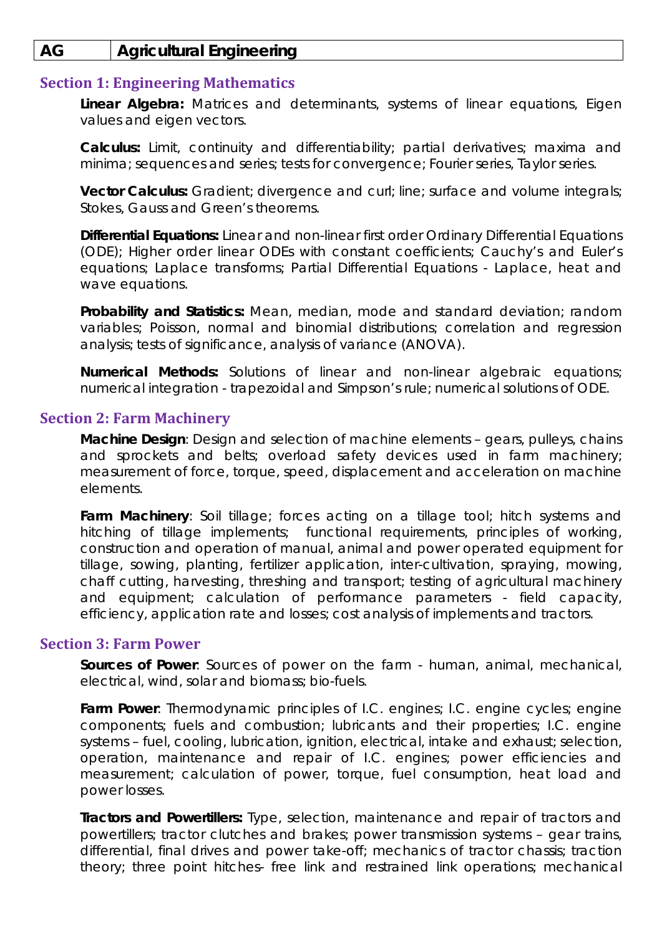# **AG Agricultural Engineering**

#### **Section 1: Engineering Mathematics**

**Linear Algebra:** Matrices and determinants, systems of linear equations, Eigen values and eigen vectors.

**Calculus:** Limit, continuity and differentiability; partial derivatives; maxima and minima; sequences and series; tests for convergence; Fourier series, Taylor series.

**Vector Calculus:** Gradient; divergence and curl; line; surface and volume integrals; Stokes, Gauss and Green's theorems.

**Differential Equations:** Linear and non-linear first order Ordinary Differential Equations (ODE); Higher order linear ODEs with constant coefficients; Cauchy's and Euler's equations; Laplace transforms; Partial Differential Equations - Laplace, heat and wave equations.

**Probability and Statistics:** Mean, median, mode and standard deviation; random variables; Poisson, normal and binomial distributions; correlation and regression analysis; tests of significance, analysis of variance (ANOVA).

**Numerical Methods:** Solutions of linear and non-linear algebraic equations; numerical integration - trapezoidal and Simpson's rule; numerical solutions of ODE.

#### **Section 2: Farm Machinery**

**Machine Design**: Design and selection of machine elements – gears, pulleys, chains and sprockets and belts; overload safety devices used in farm machinery; measurement of force, torque, speed, displacement and acceleration on machine elements.

Farm Machinery: Soil tillage; forces acting on a tillage tool; hitch systems and hitching of tillage implements; functional requirements, principles of working, construction and operation of manual, animal and power operated equipment for tillage, sowing, planting, fertilizer application, inter-cultivation, spraying, mowing, chaff cutting, harvesting, threshing and transport; testing of agricultural machinery and equipment; calculation of performance parameters - field capacity, efficiency, application rate and losses; cost analysis of implements and tractors.

#### **Section 3: Farm Power**

**Sources of Power**: Sources of power on the farm - human, animal, mechanical, electrical, wind, solar and biomass; bio-fuels.

**Farm Power**: Thermodynamic principles of I.C. engines; I.C. engine cycles; engine components; fuels and combustion; lubricants and their properties; I.C. engine systems – fuel, cooling, lubrication, ignition, electrical, intake and exhaust; selection, operation, maintenance and repair of I.C. engines; power efficiencies and measurement; calculation of power, torque, fuel consumption, heat load and power losses.

**Tractors and Powertillers:** Type, selection, maintenance and repair of tractors and powertillers; tractor clutches and brakes; power transmission systems – gear trains, differential, final drives and power take-off; mechanics of tractor chassis; traction theory; three point hitches- free link and restrained link operations; mechanical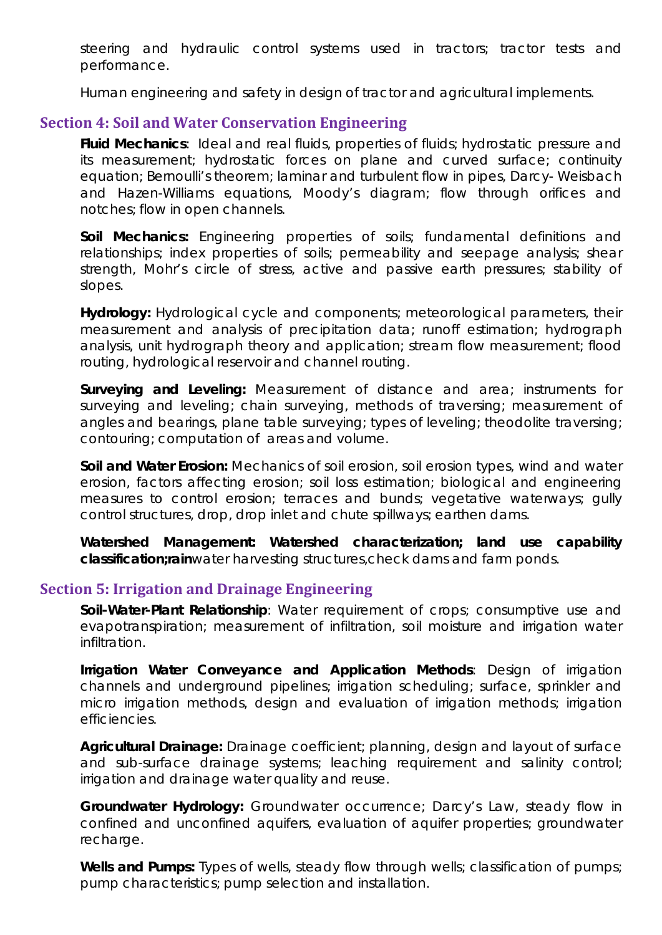steering and hydraulic control systems used in tractors; tractor tests and performance.

Human engineering and safety in design of tractor and agricultural implements.

## **Section 4: Soil and Water Conservation Engineering**

**Fluid Mechanics**: Ideal and real fluids, properties of fluids; hydrostatic pressure and its measurement; hydrostatic forces on plane and curved surface; continuity equation; Bernoulli's theorem; laminar and turbulent flow in pipes, Darcy- Weisbach and Hazen-Williams equations, Moody's diagram; flow through orifices and notches; flow in open channels.

**Soil Mechanics:** Engineering properties of soils; fundamental definitions and relationships; index properties of soils; permeability and seepage analysis; shear strength, Mohr's circle of stress, active and passive earth pressures; stability of slopes.

**Hydrology:** Hydrological cycle and components; meteorological parameters, their measurement and analysis of precipitation data; runoff estimation; hydrograph analysis, unit hydrograph theory and application; stream flow measurement; flood routing, hydrological reservoir and channel routing.

**Surveying and Leveling:** Measurement of distance and area; instruments for surveying and leveling; chain surveying, methods of traversing; measurement of angles and bearings, plane table surveying; types of leveling; theodolite traversing; contouring; computation of areas and volume.

**Soil and Water Erosion:** Mechanics of soil erosion, soil erosion types, wind and water erosion, factors affecting erosion; soil loss estimation; biological and engineering measures to control erosion; terraces and bunds; vegetative waterways; gully control structures, drop, drop inlet and chute spillways; earthen dams.

**Watershed Management: Watershed characterization; land use capability classification;rain**water harvesting structures,check dams and farm ponds.

## **Section 5: Irrigation and Drainage Engineering**

**Soil-Water-Plant Relationship**: Water requirement of crops; consumptive use and evapotranspiration; measurement of infiltration, soil moisture and irrigation water infiltration.

**Irrigation Water Conveyance and Application Methods**: Design of irrigation channels and underground pipelines; irrigation scheduling; surface, sprinkler and micro irrigation methods, design and evaluation of irrigation methods; irrigation efficiencies.

**Agricultural Drainage:** Drainage coefficient; planning, design and layout of surface and sub-surface drainage systems; leaching requirement and salinity control; irrigation and drainage water quality and reuse.

**Groundwater Hydrology:** Groundwater occurrence; Darcy's Law, steady flow in confined and unconfined aquifers, evaluation of aquifer properties; groundwater recharge.

Wells and Pumps: Types of wells, steady flow through wells; classification of pumps; pump characteristics; pump selection and installation.